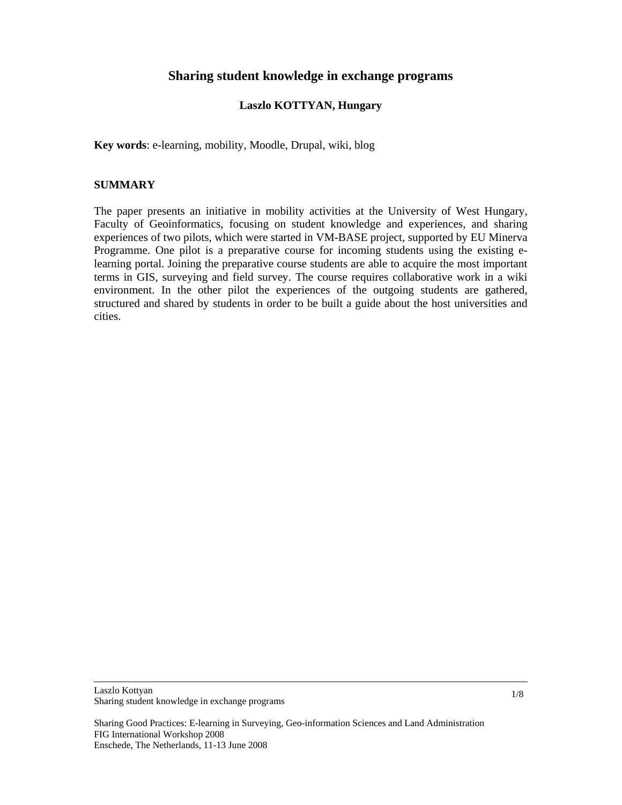## **Sharing student knowledge in exchange programs**

#### **Laszlo KOTTYAN, Hungary**

**Key words**: e-learning, mobility, Moodle, Drupal, wiki, blog

#### **SUMMARY**

The paper presents an initiative in mobility activities at the University of West Hungary, Faculty of Geoinformatics, focusing on student knowledge and experiences, and sharing experiences of two pilots, which were started in VM-BASE project, supported by EU Minerva Programme. One pilot is a preparative course for incoming students using the existing elearning portal. Joining the preparative course students are able to acquire the most important terms in GIS, surveying and field survey. The course requires collaborative work in a wiki environment. In the other pilot the experiences of the outgoing students are gathered, structured and shared by students in order to be built a guide about the host universities and cities.

Laszlo Kottyan Sharing student knowledge in exchange programs

Sharing Good Practices: E-learning in Surveying, Geo-information Sciences and Land Administration FIG International Workshop 2008 Enschede, The Netherlands, 11-13 June 2008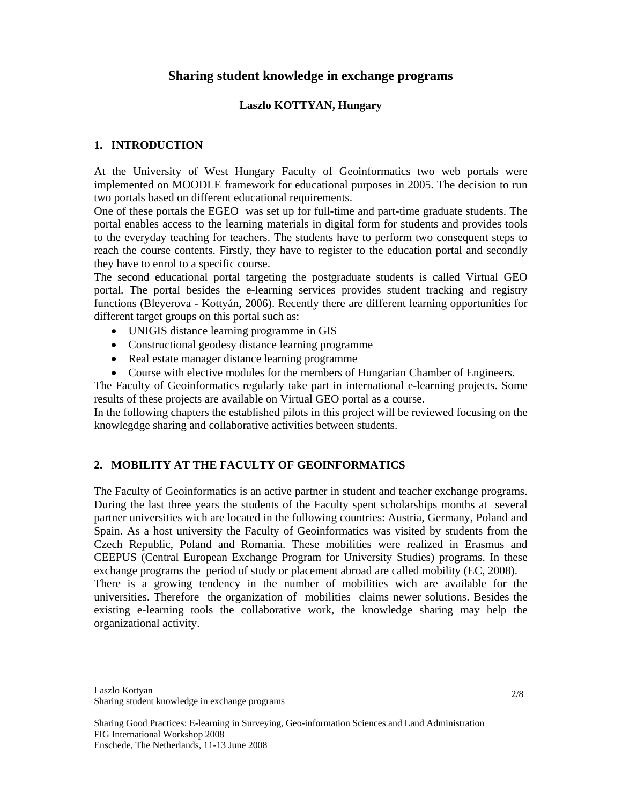## **Sharing student knowledge in exchange programs**

#### **Laszlo KOTTYAN, Hungary**

### **1. INTRODUCTION**

At the University of West Hungary Faculty of Geoinformatics two web portals were implemented on MOODLE framework for educational purposes in 2005. The decision to run two portals based on different educational requirements.

One of these portals the EGEO was set up for full-time and part-time graduate students. The portal enables access to the learning materials in digital form for students and provides tools to the everyday teaching for teachers. The students have to perform two consequent steps to reach the course contents. Firstly, they have to register to the education portal and secondly they have to enrol to a specific course.

The second educational portal targeting the postgraduate students is called Virtual GEO portal. The portal besides the e-learning services provides student tracking and registry functions (Bleyerova - Kottyán, 2006). Recently there are different learning opportunities for different target groups on this portal such as:

- UNIGIS distance learning programme in GIS
- Constructional geodesy distance learning programme
- Real estate manager distance learning programme
- Course with elective modules for the members of Hungarian Chamber of Engineers.

The Faculty of Geoinformatics regularly take part in international e-learning projects. Some results of these projects are available on Virtual GEO portal as a course.

In the following chapters the established pilots in this project will be reviewed focusing on the knowlegdge sharing and collaborative activities between students.

## **2. MOBILITY AT THE FACULTY OF GEOINFORMATICS**

The Faculty of Geoinformatics is an active partner in student and teacher exchange programs. During the last three years the students of the Faculty spent scholarships months at several partner universities wich are located in the following countries: Austria, Germany, Poland and Spain. As a host university the Faculty of Geoinformatics was visited by students from the Czech Republic, Poland and Romania. These mobilities were realized in Erasmus and CEEPUS (Central European Exchange Program for University Studies) programs. In these exchange programs the period of study or placement abroad are called mobility (EC, 2008). There is a growing tendency in the number of mobilities wich are available for the universities. Therefore the organization of mobilities claims newer solutions. Besides the existing e-learning tools the collaborative work, the knowledge sharing may help the organizational activity.

Sharing Good Practices: E-learning in Surveying, Geo-information Sciences and Land Administration FIG International Workshop 2008 Enschede, The Netherlands, 11-13 June 2008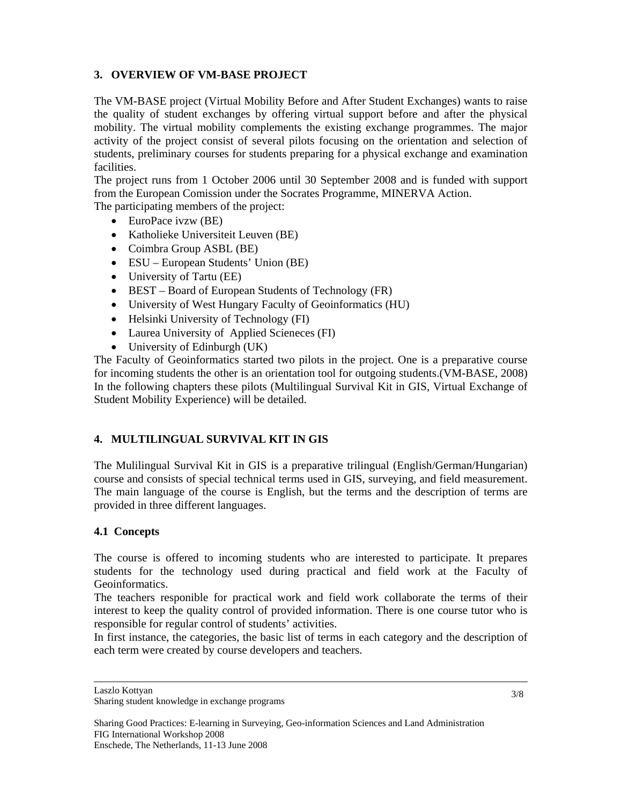## **3. OVERVIEW OF VM-BASE PROJECT**

The VM-BASE project (Virtual Mobility Before and After Student Exchanges) wants to raise the quality of student exchanges by offering virtual support before and after the physical mobility. The virtual mobility complements the existing exchange programmes. The major activity of the project consist of several pilots focusing on the orientation and selection of students, preliminary courses for students preparing for a physical exchange and examination facilities.

The project runs from 1 October 2006 until 30 September 2008 and is funded with support from the European Comission under the Socrates Programme, MINERVA Action.

The participating members of the project:

- EuroPace ivzw (BE)
- Katholieke Universiteit Leuven (BE)
- Coimbra Group ASBL (BE)
- ESU European Students' Union (BE)
- University of Tartu (EE)
- BEST Board of European Students of Technology (FR)
- University of West Hungary Faculty of Geoinformatics (HU)
- Helsinki University of Technology (FI)
- Laurea University of Applied Scieneces (FI)
- University of Edinburgh (UK)

The Faculty of Geoinformatics started two pilots in the project. One is a preparative course for incoming students the other is an orientation tool for outgoing students.(VM-BASE, 2008) In the following chapters these pilots (Multilingual Survival Kit in GIS, Virtual Exchange of Student Mobility Experience) will be detailed.

# **4. MULTILINGUAL SURVIVAL KIT IN GIS**

The Mulilingual Survival Kit in GIS is a preparative trilingual (English/German/Hungarian) course and consists of special technical terms used in GIS, surveying, and field measurement. The main language of the course is English, but the terms and the description of terms are provided in three different languages.

## **4.1 Concepts**

The course is offered to incoming students who are interested to participate. It prepares students for the technology used during practical and field work at the Faculty of Geoinformatics.

The teachers responible for practical work and field work collaborate the terms of their interest to keep the quality control of provided information. There is one course tutor who is responsible for regular control of students' activities.

In first instance, the categories, the basic list of terms in each category and the description of each term were created by course developers and teachers.

Laszlo Kottyan

Sharing student knowledge in exchange programs

Sharing Good Practices: E-learning in Surveying, Geo-information Sciences and Land Administration FIG International Workshop 2008 Enschede, The Netherlands, 11-13 June 2008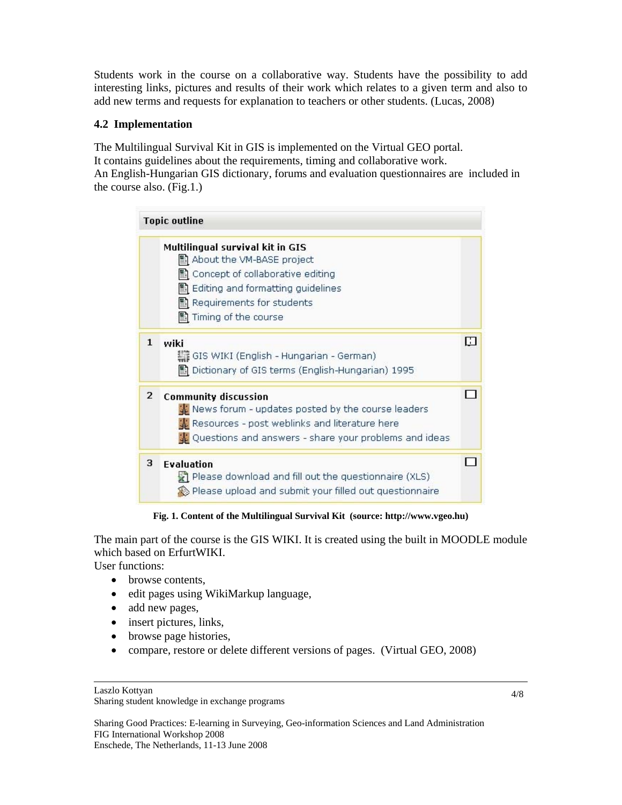Students work in the course on a collaborative way. Students have the possibility to add interesting links, pictures and results of their work which relates to a given term and also to add new terms and requests for explanation to teachers or other students. (Lucas, 2008)

### **4.2 Implementation**

The Multilingual Survival Kit in GIS is implemented on the Virtual GEO portal. It contains guidelines about the requirements, timing and collaborative work. An English-Hungarian GIS dictionary, forums and evaluation questionnaires are included in the course also. (Fig.1.)

| <b>Topic outline</b> |                                                         |   |
|----------------------|---------------------------------------------------------|---|
|                      | Multilingual survival kit in GIS                        |   |
|                      | ■ About the VM-BASE project                             |   |
|                      | 图 Concept of collaborative editing                      |   |
|                      | ■ Editing and formatting guidelines                     |   |
|                      | Requirements for students                               |   |
|                      | 图 Timing of the course                                  |   |
| 1                    | wiki                                                    | н |
|                      | GIS WIKI (English - Hungarian - German)                 |   |
|                      | 圖 Dictionary of GIS terms (English-Hungarian) 1995      |   |
| $\overline{2}$       | <b>Community discussion</b>                             |   |
|                      | Wews forum - updates posted by the course leaders       |   |
|                      | <b>A:</b> Resources - post weblinks and literature here |   |
|                      | ↓ Questions and answers - share your problems and ideas |   |
| 3                    | <b>Evaluation</b>                                       |   |
|                      | Please download and fill out the questionnaire (XLS)    |   |
|                      | Please upload and submit your filled out questionnaire  |   |

**Fig. 1. Content of the Multilingual Survival Kit (source: http://www.vgeo.hu)** 

The main part of the course is the GIS WIKI. It is created using the built in MOODLE module which based on ErfurtWIKI.

User functions:

- browse contents,
- edit pages using WikiMarkup language,
- add new pages,
- insert pictures, links,
- browse page histories,
- compare, restore or delete different versions of pages. (Virtual GEO, 2008)

Sharing Good Practices: E-learning in Surveying, Geo-information Sciences and Land Administration FIG International Workshop 2008 Enschede, The Netherlands, 11-13 June 2008

Laszlo Kottyan

Sharing student knowledge in exchange programs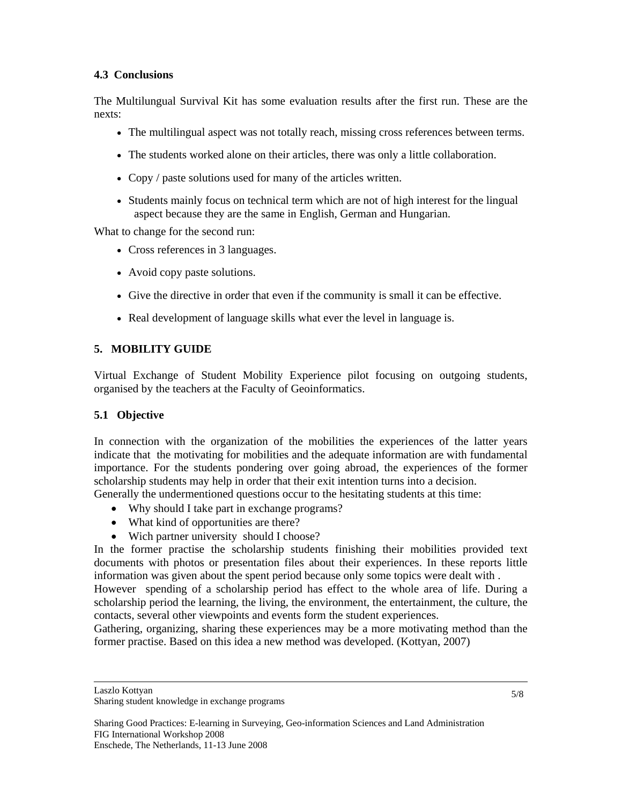### **4.3 Conclusions**

The Multilungual Survival Kit has some evaluation results after the first run. These are the nexts:

- The multilingual aspect was not totally reach, missing cross references between terms.
- The students worked alone on their articles, there was only a little collaboration.
- Copy / paste solutions used for many of the articles written.
- Students mainly focus on technical term which are not of high interest for the lingual aspect because they are the same in English, German and Hungarian.

What to change for the second run:

- Cross references in 3 languages.
- Avoid copy paste solutions.
- Give the directive in order that even if the community is small it can be effective.
- Real development of language skills what ever the level in language is.

## **5. MOBILITY GUIDE**

Virtual Exchange of Student Mobility Experience pilot focusing on outgoing students, organised by the teachers at the Faculty of Geoinformatics.

#### **5.1 Objective**

In connection with the organization of the mobilities the experiences of the latter years indicate that the motivating for mobilities and the adequate information are with fundamental importance. For the students pondering over going abroad, the experiences of the former scholarship students may help in order that their exit intention turns into a decision.

Generally the undermentioned questions occur to the hesitating students at this time:

- Why should I take part in exchange programs?
- What kind of opportunities are there?
- Wich partner university should I choose?

In the former practise the scholarship students finishing their mobilities provided text documents with photos or presentation files about their experiences. In these reports little information was given about the spent period because only some topics were dealt with .

However spending of a scholarship period has effect to the whole area of life. During a scholarship period the learning, the living, the environment, the entertainment, the culture, the contacts, several other viewpoints and events form the student experiences.

Gathering, organizing, sharing these experiences may be a more motivating method than the former practise. Based on this idea a new method was developed. (Kottyan, 2007)

Laszlo Kottyan

Sharing student knowledge in exchange programs

Sharing Good Practices: E-learning in Surveying, Geo-information Sciences and Land Administration FIG International Workshop 2008 Enschede, The Netherlands, 11-13 June 2008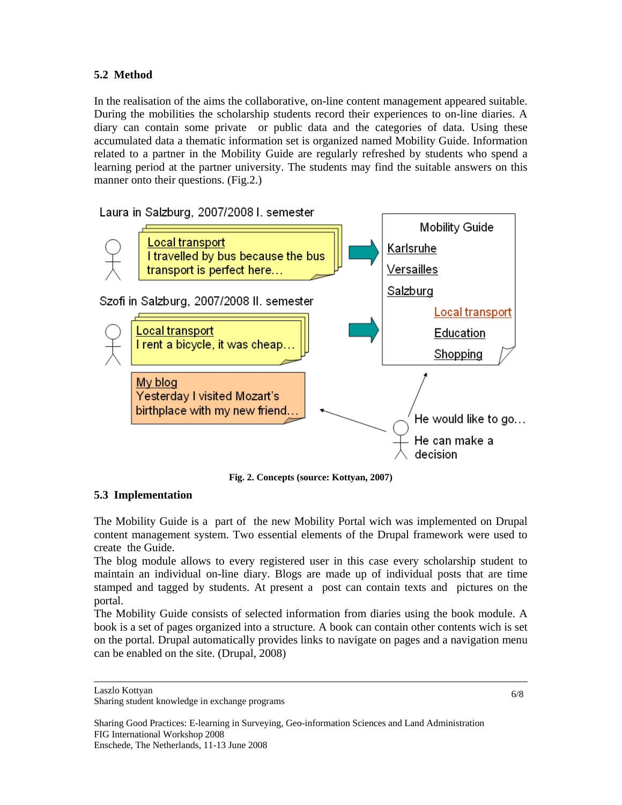## **5.2 Method**

In the realisation of the aims the collaborative, on-line content management appeared suitable. During the mobilities the scholarship students record their experiences to on-line diaries. A diary can contain some private or public data and the categories of data. Using these accumulated data a thematic information set is organized named Mobility Guide. Information related to a partner in the Mobility Guide are regularly refreshed by students who spend a learning period at the partner university. The students may find the suitable answers on this manner onto their questions. (Fig.2.)



**Fig. 2. Concepts (source: Kottyan, 2007)** 

## **5.3 Implementation**

The Mobility Guide is a part of the new Mobility Portal wich was implemented on Drupal content management system. Two essential elements of the Drupal framework were used to create the Guide.

The blog module allows to every registered user in this case every scholarship student to maintain an individual on-line diary. Blogs are made up of individual posts that are time stamped and tagged by students. At present a post can contain texts and pictures on the portal.

The Mobility Guide consists of selected information from diaries using the book module. A book is a set of pages organized into a structure. A book can contain other contents wich is set on the portal. Drupal automatically provides links to navigate on pages and a navigation menu can be enabled on the site. (Drupal, 2008)

Laszlo Kottyan

Sharing student knowledge in exchange programs

Sharing Good Practices: E-learning in Surveying, Geo-information Sciences and Land Administration FIG International Workshop 2008 Enschede, The Netherlands, 11-13 June 2008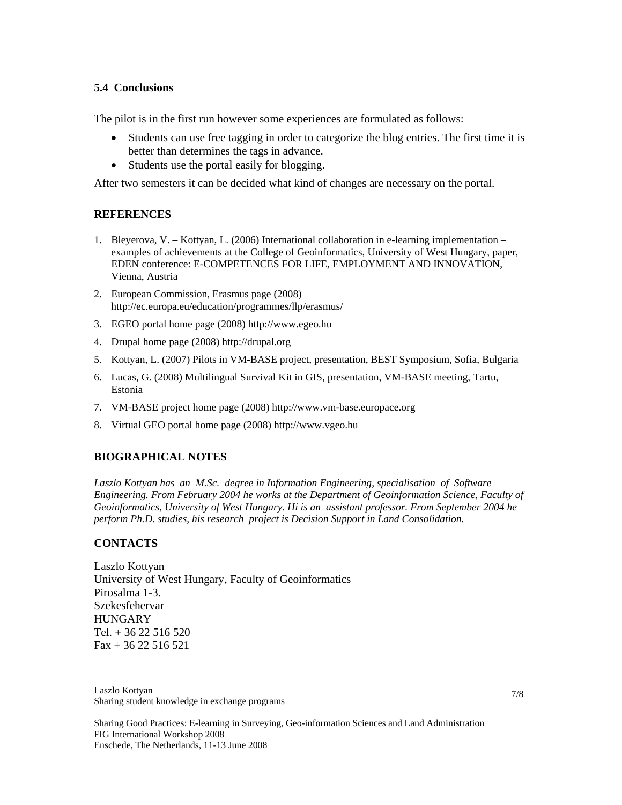#### **5.4 Conclusions**

The pilot is in the first run however some experiences are formulated as follows:

- Students can use free tagging in order to categorize the blog entries. The first time it is better than determines the tags in advance.
- Students use the portal easily for blogging.

After two semesters it can be decided what kind of changes are necessary on the portal.

#### **REFERENCES**

- 1. Bleyerova, V. Kottyan, L. (2006) International collaboration in e-learning implementation examples of achievements at the College of Geoinformatics, University of West Hungary, paper, EDEN conference: E-COMPETENCES FOR LIFE, EMPLOYMENT AND INNOVATION, Vienna, Austria
- 2. European Commission, Erasmus page (2008) http://ec.europa.eu/education/programmes/llp/erasmus/
- 3. EGEO portal home page (2008) http://www.egeo.hu
- 4. Drupal home page (2008) http://drupal.org
- 5. Kottyan, L. (2007) Pilots in VM-BASE project, presentation, BEST Symposium, Sofia, Bulgaria
- 6. Lucas, G. (2008) Multilingual Survival Kit in GIS, presentation, VM-BASE meeting, Tartu, Estonia
- 7. VM-BASE project home page (2008) http://www.vm-base.europace.org
- 8. Virtual GEO portal home page (2008) http://www.vgeo.hu

#### **BIOGRAPHICAL NOTES**

*Laszlo Kottyan has an M.Sc. degree in Information Engineering, specialisation of Software Engineering. From February 2004 he works at the Department of Geoinformation Science, Faculty of Geoinformatics, University of West Hungary. Hi is an assistant professor. From September 2004 he perform Ph.D. studies, his research project is Decision Support in Land Consolidation.* 

#### **CONTACTS**

Laszlo Kottyan University of West Hungary, Faculty of Geoinformatics Pirosalma 1-3. Szekesfehervar HUNGARY Tel. + 36 22 516 520 Fax + 36 22 516 521

Sharing student knowledge in exchange programs

Sharing Good Practices: E-learning in Surveying, Geo-information Sciences and Land Administration FIG International Workshop 2008 Enschede, The Netherlands, 11-13 June 2008

Laszlo Kottyan